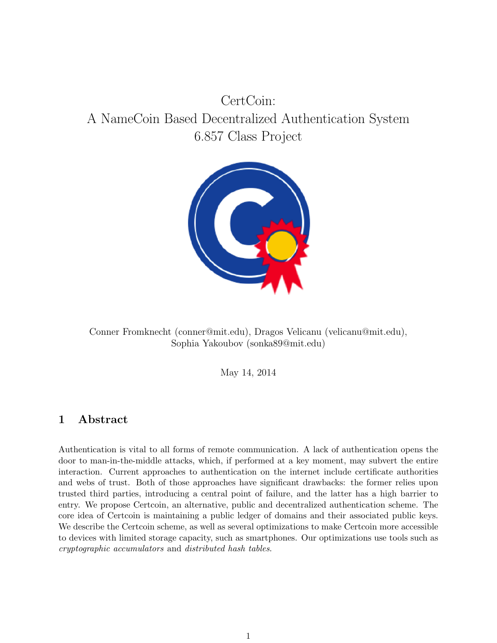# CertCoin: A NameCoin Based Decentralized Authentication System 6.857 Class Project



Conner Fromknecht (conner@mit.edu), Dragos Velicanu (velicanu@mit.edu), Sophia Yakoubov (sonka89@mit.edu)

May 14, 2014

# 1 Abstract

Authentication is vital to all forms of remote communication. A lack of authentication opens the door to man-in-the-middle attacks, which, if performed at a key moment, may subvert the entire interaction. Current approaches to authentication on the internet include certificate authorities and webs of trust. Both of those approaches have significant drawbacks: the former relies upon trusted third parties, introducing a central point of failure, and the latter has a high barrier to entry. We propose Certcoin, an alternative, public and decentralized authentication scheme. The core idea of Certcoin is maintaining a public ledger of domains and their associated public keys. We describe the Certcoin scheme, as well as several optimizations to make Certcoin more accessible to devices with limited storage capacity, such as smartphones. Our optimizations use tools such as cryptographic accumulators and distributed hash tables.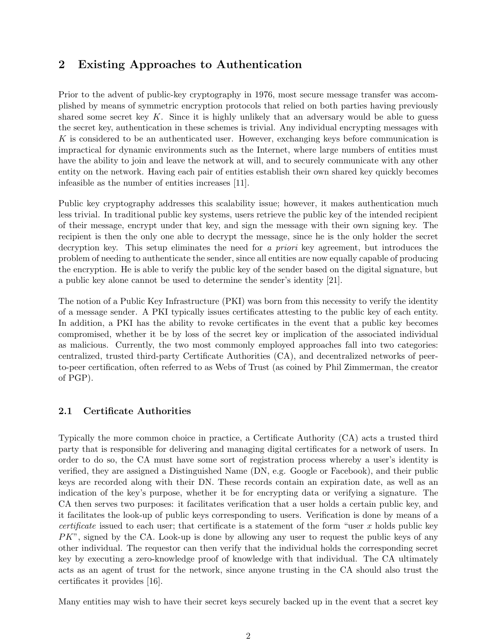# 2 Existing Approaches to Authentication

Prior to the advent of public-key cryptography in 1976, most secure message transfer was accomplished by means of symmetric encryption protocols that relied on both parties having previously shared some secret key  $K$ . Since it is highly unlikely that an adversary would be able to guess the secret key, authentication in these schemes is trivial. Any individual encrypting messages with K is considered to be an authenticated user. However, exchanging keys before communication is impractical for dynamic environments such as the Internet, where large numbers of entities must have the ability to join and leave the network at will, and to securely communicate with any other entity on the network. Having each pair of entities establish their own shared key quickly becomes infeasible as the number of entities increases [11].

Public key cryptography addresses this scalability issue; however, it makes authentication much less trivial. In traditional public key systems, users retrieve the public key of the intended recipient of their message, encrypt under that key, and sign the message with their own signing key. The recipient is then the only one able to decrypt the message, since he is the only holder the secret decryption key. This setup eliminates the need for a *priori* key agreement, but introduces the problem of needing to authenticate the sender, since all entities are now equally capable of producing the encryption. He is able to verify the public key of the sender based on the digital signature, but a public key alone cannot be used to determine the sender's identity [21].

The notion of a Public Key Infrastructure (PKI) was born from this necessity to verify the identity of a message sender. A PKI typically issues certificates attesting to the public key of each entity. In addition, a PKI has the ability to revoke certificates in the event that a public key becomes compromised, whether it be by loss of the secret key or implication of the associated individual as malicious. Currently, the two most commonly employed approaches fall into two categories: centralized, trusted third-party Certificate Authorities (CA), and decentralized networks of peerto-peer certification, often referred to as Webs of Trust (as coined by Phil Zimmerman, the creator of PGP).

#### 2.1 Certificate Authorities

Typically the more common choice in practice, a Certificate Authority (CA) acts a trusted third party that is responsible for delivering and managing digital certificates for a network of users. In order to do so, the CA must have some sort of registration process whereby a user's identity is verified, they are assigned a Distinguished Name (DN, e.g. Google or Facebook), and their public keys are recorded along with their DN. These records contain an expiration date, as well as an indication of the key's purpose, whether it be for encrypting data or verifying a signature. The CA then serves two purposes: it facilitates verification that a user holds a certain public key, and it facilitates the look-up of public keys corresponding to users. Verification is done by means of a *certificate* issued to each user; that certificate is a statement of the form "user  $x$  holds public key  $PK$ ", signed by the CA. Look-up is done by allowing any user to request the public keys of any other individual. The requestor can then verify that the individual holds the corresponding secret key by executing a zero-knowledge proof of knowledge with that individual. The CA ultimately acts as an agent of trust for the network, since anyone trusting in the CA should also trust the certificates it provides [16].

Many entities may wish to have their secret keys securely backed up in the event that a secret key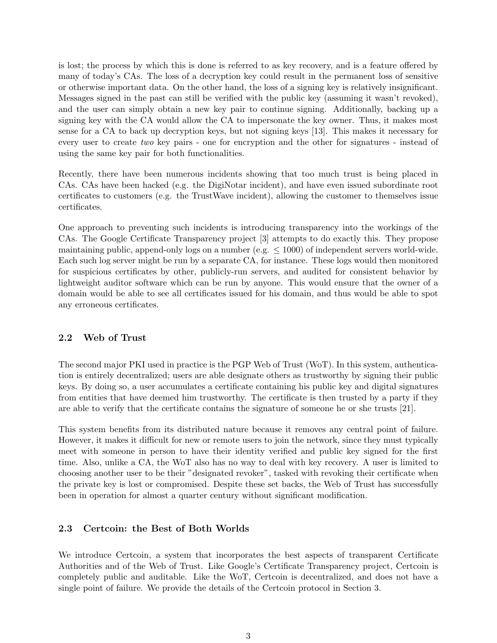is lost; the process by which this is done is referred to as key recovery, and is a feature offered by many of today's CAs. The loss of a decryption key could result in the permanent loss of sensitive or otherwise important data. On the other hand, the loss of a signing key is relatively insignificant. Messages signed in the past can still be verified with the public key (assuming it wasn't revoked), and the user can simply obtain a new key pair to continue signing. Additionally, backing up a signing key with the CA would allow the CA to impersonate the key owner. Thus, it makes most sense for a CA to back up decryption keys, but not signing keys [13]. This makes it necessary for every user to create two key pairs - one for encryption and the other for signatures - instead of using the same key pair for both functionalities.

Recently, there have been numerous incidents showing that too much trust is being placed in CAs. CAs have been hacked (e.g. the DigiNotar incident), and have even issued subordinate root certificates to customers (e.g. the TrustWave incident), allowing the customer to themselves issue certificates.

One approach to preventing such incidents is introducing transparency into the workings of the CAs. The Google Certificate Transparency project [3] attempts to do exactly this. They propose maintaining public, append-only logs on a number (e.g.  $\leq 1000$ ) of independent servers world-wide. Each such log server might be run by a separate CA, for instance. These logs would then monitored for suspicious certificates by other, publicly-run servers, and audited for consistent behavior by lightweight auditor software which can be run by anyone. This would ensure that the owner of a domain would be able to see all certificates issued for his domain, and thus would be able to spot any erroneous certificates.

#### 2.2 Web of Trust

The second major PKI used in practice is the PGP Web of Trust (WoT). In this system, authentication is entirely decentralized; users are able designate others as trustworthy by signing their public keys. By doing so, a user accumulates a certificate containing his public key and digital signatures from entities that have deemed him trustworthy. The certificate is then trusted by a party if they are able to verify that the certificate contains the signature of someone he or she trusts [21].

This system benefits from its distributed nature because it removes any central point of failure. However, it makes it difficult for new or remote users to join the network, since they must typically meet with someone in person to have their identity verified and public key signed for the first time. Also, unlike a CA, the WoT also has no way to deal with key recovery. A user is limited to choosing another user to be their "designated revoker", tasked with revoking their certificate when the private key is lost or compromised. Despite these set backs, the Web of Trust has successfully been in operation for almost a quarter century without significant modification.

#### 2.3 Certcoin: the Best of Both Worlds

We introduce Certcoin, a system that incorporates the best aspects of transparent Certificate Authorities and of the Web of Trust. Like Google's Certificate Transparency project, Certcoin is completely public and auditable. Like the WoT, Certcoin is decentralized, and does not have a single point of failure. We provide the details of the Certcoin protocol in Section 3.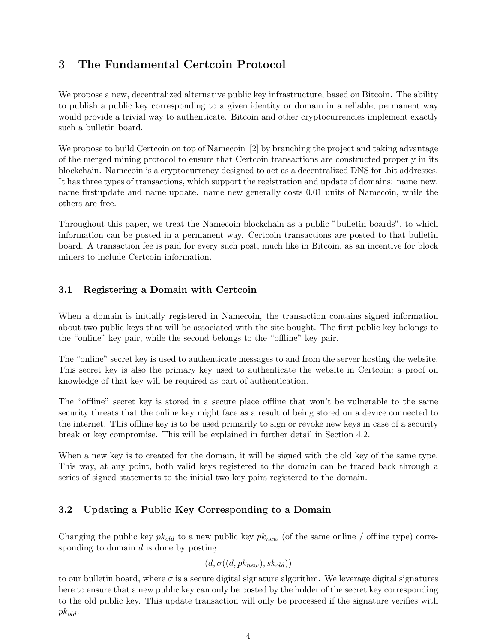# 3 The Fundamental Certcoin Protocol

We propose a new, decentralized alternative public key infrastructure, based on Bitcoin. The ability to publish a public key corresponding to a given identity or domain in a reliable, permanent way would provide a trivial way to authenticate. Bitcoin and other cryptocurrencies implement exactly such a bulletin board.

We propose to build Certcoin on top of Namecoin [2] by branching the project and taking advantage of the merged mining protocol to ensure that Certcoin transactions are constructed properly in its blockchain. Namecoin is a cryptocurrency designed to act as a decentralized DNS for .bit addresses. It has three types of transactions, which support the registration and update of domains: name new, name firstupdate and name update. name new generally costs 0.01 units of Namecoin, while the others are free.

Throughout this paper, we treat the Namecoin blockchain as a public "bulletin boards", to which information can be posted in a permanent way. Certcoin transactions are posted to that bulletin board. A transaction fee is paid for every such post, much like in Bitcoin, as an incentive for block miners to include Certcoin information.

### 3.1 Registering a Domain with Certcoin

When a domain is initially registered in Namecoin, the transaction contains signed information about two public keys that will be associated with the site bought. The first public key belongs to the "online" key pair, while the second belongs to the "offline" key pair.

The "online" secret key is used to authenticate messages to and from the server hosting the website. This secret key is also the primary key used to authenticate the website in Certcoin; a proof on knowledge of that key will be required as part of authentication.

The "offline" secret key is stored in a secure place offline that won't be vulnerable to the same security threats that the online key might face as a result of being stored on a device connected to the internet. This offline key is to be used primarily to sign or revoke new keys in case of a security break or key compromise. This will be explained in further detail in Section 4.2.

When a new key is to created for the domain, it will be signed with the old key of the same type. This way, at any point, both valid keys registered to the domain can be traced back through a series of signed statements to the initial two key pairs registered to the domain.

## 3.2 Updating a Public Key Corresponding to a Domain

Changing the public key  $pk_{old}$  to a new public key  $pk_{new}$  (of the same online / offline type) corresponding to domain d is done by posting

$$
(d, \sigma((d, pk_{new}), sk_{old}))
$$

to our bulletin board, where  $\sigma$  is a secure digital signature algorithm. We leverage digital signatures here to ensure that a new public key can only be posted by the holder of the secret key corresponding to the old public key. This update transaction will only be processed if the signature verifies with  $pk_{old}$ .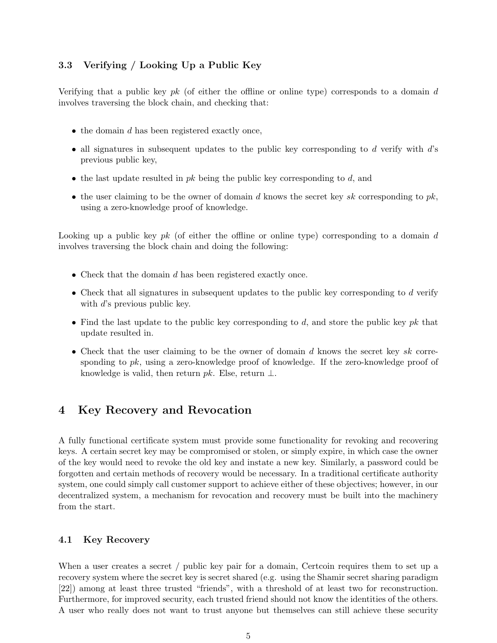### 3.3 Verifying / Looking Up a Public Key

Verifying that a public key  $pk$  (of either the offline or online type) corresponds to a domain d involves traversing the block chain, and checking that:

- $\bullet$  the domain d has been registered exactly once,
- all signatures in subsequent updates to the public key corresponding to  $d$  verify with  $d$ 's previous public key,
- the last update resulted in  $pk$  being the public key corresponding to  $d$ , and
- the user claiming to be the owner of domain d knows the secret key sk corresponding to  $pk$ , using a zero-knowledge proof of knowledge.

Looking up a public key  $pk$  (of either the offline or online type) corresponding to a domain d involves traversing the block chain and doing the following:

- Check that the domain d has been registered exactly once.
- Check that all signatures in subsequent updates to the public key corresponding to d verify with d's previous public key.
- Find the last update to the public key corresponding to  $d$ , and store the public key pk that update resulted in.
- Check that the user claiming to be the owner of domain  $d$  knows the secret key  $sk$  corresponding to  $pk$ , using a zero-knowledge proof of knowledge. If the zero-knowledge proof of knowledge is valid, then return pk. Else, return  $\perp$ .

## 4 Key Recovery and Revocation

A fully functional certificate system must provide some functionality for revoking and recovering keys. A certain secret key may be compromised or stolen, or simply expire, in which case the owner of the key would need to revoke the old key and instate a new key. Similarly, a password could be forgotten and certain methods of recovery would be necessary. In a traditional certificate authority system, one could simply call customer support to achieve either of these objectives; however, in our decentralized system, a mechanism for revocation and recovery must be built into the machinery from the start.

#### 4.1 Key Recovery

When a user creates a secret / public key pair for a domain, Certcoin requires them to set up a recovery system where the secret key is secret shared (e.g. using the Shamir secret sharing paradigm [22]) among at least three trusted "friends", with a threshold of at least two for reconstruction. Furthermore, for improved security, each trusted friend should not know the identities of the others. A user who really does not want to trust anyone but themselves can still achieve these security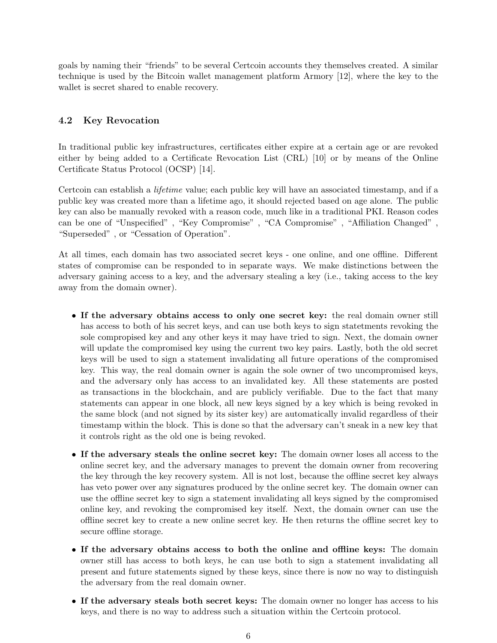goals by naming their "friends" to be several Certcoin accounts they themselves created. A similar technique is used by the Bitcoin wallet management platform Armory [12], where the key to the wallet is secret shared to enable recovery.

#### 4.2 Key Revocation

In traditional public key infrastructures, certificates either expire at a certain age or are revoked either by being added to a Certificate Revocation List (CRL) [10] or by means of the Online Certificate Status Protocol (OCSP) [14].

Certcoin can establish a lifetime value; each public key will have an associated timestamp, and if a public key was created more than a lifetime ago, it should rejected based on age alone. The public key can also be manually revoked with a reason code, much like in a traditional PKI. Reason codes can be one of "Unspecified" , "Key Compromise" , "CA Compromise" , "Affiliation Changed" , "Superseded" , or "Cessation of Operation".

At all times, each domain has two associated secret keys - one online, and one offline. Different states of compromise can be responded to in separate ways. We make distinctions between the adversary gaining access to a key, and the adversary stealing a key (i.e., taking access to the key away from the domain owner).

- If the adversary obtains access to only one secret key: the real domain owner still has access to both of his secret keys, and can use both keys to sign statetments revoking the sole compropised key and any other keys it may have tried to sign. Next, the domain owner will update the compromised key using the current two key pairs. Lastly, both the old secret keys will be used to sign a statement invalidating all future operations of the compromised key. This way, the real domain owner is again the sole owner of two uncompromised keys, and the adversary only has access to an invalidated key. All these statements are posted as transactions in the blockchain, and are publicly verifiable. Due to the fact that many statements can appear in one block, all new keys signed by a key which is being revoked in the same block (and not signed by its sister key) are automatically invalid regardless of their timestamp within the block. This is done so that the adversary can't sneak in a new key that it controls right as the old one is being revoked.
- If the adversary steals the online secret key: The domain owner loses all access to the online secret key, and the adversary manages to prevent the domain owner from recovering the key through the key recovery system. All is not lost, because the offline secret key always has veto power over any signatures produced by the online secret key. The domain owner can use the offline secret key to sign a statement invalidating all keys signed by the compromised online key, and revoking the compromised key itself. Next, the domain owner can use the offline secret key to create a new online secret key. He then returns the offline secret key to secure offline storage.
- If the adversary obtains access to both the online and offline keys: The domain owner still has access to both keys, he can use both to sign a statement invalidating all present and future statements signed by these keys, since there is now no way to distinguish the adversary from the real domain owner.
- If the adversary steals both secret keys: The domain owner no longer has access to his keys, and there is no way to address such a situation within the Certcoin protocol.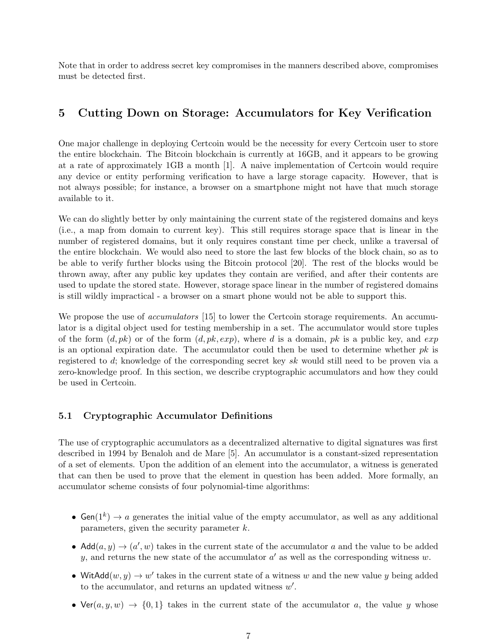Note that in order to address secret key compromises in the manners described above, compromises must be detected first.

## 5 Cutting Down on Storage: Accumulators for Key Verification

One major challenge in deploying Certcoin would be the necessity for every Certcoin user to store the entire blockchain. The Bitcoin blockchain is currently at 16GB, and it appears to be growing at a rate of approximately 1GB a month [1]. A naive implementation of Certcoin would require any device or entity performing verification to have a large storage capacity. However, that is not always possible; for instance, a browser on a smartphone might not have that much storage available to it.

We can do slightly better by only maintaining the current state of the registered domains and keys (i.e., a map from domain to current key). This still requires storage space that is linear in the number of registered domains, but it only requires constant time per check, unlike a traversal of the entire blockchain. We would also need to store the last few blocks of the block chain, so as to be able to verify further blocks using the Bitcoin protocol [20]. The rest of the blocks would be thrown away, after any public key updates they contain are verified, and after their contents are used to update the stored state. However, storage space linear in the number of registered domains is still wildly impractical - a browser on a smart phone would not be able to support this.

We propose the use of *accumulators* [15] to lower the Certcoin storage requirements. An accumulator is a digital object used for testing membership in a set. The accumulator would store tuples of the form  $(d, pk)$  or of the form  $(d, pk, exp)$ , where d is a domain, pk is a public key, and exp is an optional expiration date. The accumulator could then be used to determine whether  $pk$  is registered to d; knowledge of the corresponding secret key sk would still need to be proven via a zero-knowledge proof. In this section, we describe cryptographic accumulators and how they could be used in Certcoin.

#### 5.1 Cryptographic Accumulator Definitions

The use of cryptographic accumulators as a decentralized alternative to digital signatures was first described in 1994 by Benaloh and de Mare [5]. An accumulator is a constant-sized representation of a set of elements. Upon the addition of an element into the accumulator, a witness is generated that can then be used to prove that the element in question has been added. More formally, an accumulator scheme consists of four polynomial-time algorithms:

- Gen( $1^k$ )  $\rightarrow$  a generates the initial value of the empty accumulator, as well as any additional parameters, given the security parameter  $k$ .
- Add $(a, y) \rightarrow (a', w)$  takes in the current state of the accumulator a and the value to be added y, and returns the new state of the accumulator  $a'$  as well as the corresponding witness w.
- WitAdd $(w, y) \rightarrow w'$  takes in the current state of a witness w and the new value y being added to the accumulator, and returns an updated witness  $w'$ .
- Ver(a, y, w)  $\rightarrow$  {0, 1} takes in the current state of the accumulator a, the value y whose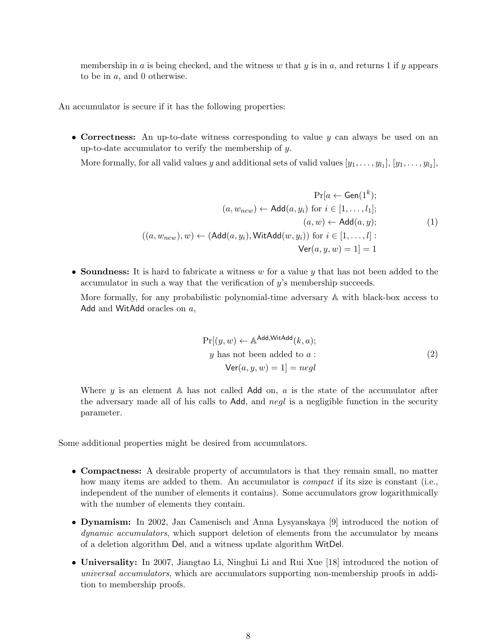membership in a is being checked, and the witness w that y is in a, and returns 1 if y appears to be in a, and 0 otherwise.

An accumulator is secure if it has the following properties:

• Correctness: An up-to-date witness corresponding to value y can always be used on an up-to-date accumulator to verify the membership of y.

More formally, for all valid values y and additional sets of valid values  $[y_1, \ldots, y_{l_1}], [y_1, \ldots, y_{l_2}],$ 

$$
\Pr[a \leftarrow Gen(1^k);
$$

$$
(a, w_{new}) \leftarrow Add(a, y_i) \text{ for } i \in [1, ..., l_1];
$$

$$
(a, w) \leftarrow Add(a, y);
$$

$$
((a, w_{new}), w) \leftarrow (Add(a, y_i), WitAdd(w, y_i)) \text{ for } i \in [1, ..., l]:
$$

$$
\text{Ver}(a, y, w) = 1] = 1
$$

• Soundness: It is hard to fabricate a witness  $w$  for a value  $y$  that has not been added to the accumulator in such a way that the verification of y's membership succeeds.

More formally, for any probabilistic polynomial-time adversary A with black-box access to Add and WitAdd oracles on a,

$$
Pr[(y, w) \leftarrow \mathbb{A}^{\text{Add,WitAdd}}(k, a);
$$
  
y has not been added to a :  

$$
Ver(a, y, w) = 1] = negl
$$
 (2)

Where  $y$  is an element  $\mathbb A$  has not called Add on,  $a$  is the state of the accumulator after the adversary made all of his calls to Add, and negl is a negligible function in the security parameter.

Some additional properties might be desired from accumulators.

- Compactness: A desirable property of accumulators is that they remain small, no matter how many items are added to them. An accumulator is *compact* if its size is constant (i.e., independent of the number of elements it contains). Some accumulators grow logarithmically with the number of elements they contain.
- Dynamism: In 2002, Jan Camenisch and Anna Lysyanskaya [9] introduced the notion of dynamic accumulators, which support deletion of elements from the accumulator by means of a deletion algorithm Del, and a witness update algorithm WitDel.
- Universality: In 2007, Jiangtao Li, Ninghui Li and Rui Xue [18] introduced the notion of universal accumulators, which are accumulators supporting non-membership proofs in addition to membership proofs.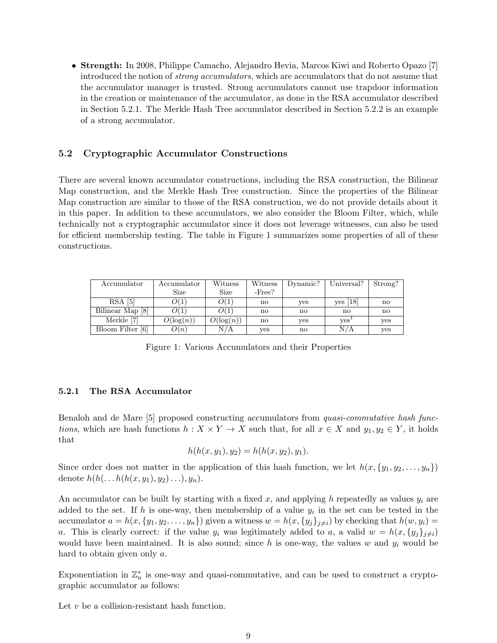• Strength: In 2008, Philippe Camacho, Alejandro Hevia, Marcos Kiwi and Roberto Opazo [7] introduced the notion of strong accumulators, which are accumulators that do not assume that the accumulator manager is trusted. Strong accumulators cannot use trapdoor information in the creation or maintenance of the accumulator, as done in the RSA accumulator described in Section 5.2.1. The Merkle Hash Tree accumulator described in Section 5.2.2 is an example of a strong accumulator.

#### 5.2 Cryptographic Accumulator Constructions

There are several known accumulator constructions, including the RSA construction, the Bilinear Map construction, and the Merkle Hash Tree construction. Since the properties of the Bilinear Map construction are similar to those of the RSA construction, we do not provide details about it in this paper. In addition to these accumulators, we also consider the Bloom Filter, which, while technically not a cryptographic accumulator since it does not leverage witnesses, can also be used for efficient membership testing. The table in Figure 1 summarizes some properties of all of these constructions.

| Accumulator      | $\rm Accuracy$ | Witness      | Witness      | Dynamic?               | Universal?       | Strong?                |
|------------------|----------------|--------------|--------------|------------------------|------------------|------------------------|
|                  | Size           | Size         | $-Free?$     |                        |                  |                        |
| RSA <sub>5</sub> | O(1)           | O(1)         | no           | ves                    | $ves$ [18]       | $\mathbf{n}$           |
| Bilinear Map [8] | O(1)           | O(1)         | no           | $\mathbf{n}\mathbf{o}$ | no               | $\mathbf{n}\mathbf{o}$ |
| Merkle [7]       | $O(\log(n))$   | $O(\log(n))$ | $\mathbf{n}$ | ves                    | yes <sup>.</sup> | yes                    |
| Bloom Filter [6] | O(n)           | N/A          | ves          | $\mathbf{n}\mathbf{o}$ | N/A              | yes                    |

Figure 1: Various Accumulators and their Properties

#### 5.2.1 The RSA Accumulator

Benaloh and de Mare [5] proposed constructing accumulators from quasi-commutative hash functions, which are hash functions  $h: X \times Y \to X$  such that, for all  $x \in X$  and  $y_1, y_2 \in Y$ , it holds that

$$
h(h(x, y_1), y_2) = h(h(x, y_2), y_1).
$$

Since order does not matter in the application of this hash function, we let  $h(x, \{y_1, y_2, \ldots, y_n\})$ denote  $h(h(\ldots h(h(x, y_1), y_2), \ldots), y_n).$ 

An accumulator can be built by starting with a fixed x, and applying h repeatedly as values  $y_i$  are added to the set. If h is one-way, then membership of a value  $y_i$  in the set can be tested in the accumulator  $a = h(x, \{y_1, y_2, \ldots, y_n\})$  given a witness  $w = h(x, \{y_j\}_{j\neq i})$  by checking that  $h(w, y_i) =$ a. This is clearly correct: if the value  $y_i$  was legitimately added to a, a valid  $w = h(x, \{y_i\}_{i\neq i})$ would have been maintained. It is also sound; since h is one-way, the values w and  $y_i$  would be hard to obtain given only a.

Exponentiation in  $\mathbb{Z}_n^*$  is one-way and quasi-commutative, and can be used to construct a cryptographic accumulator as follows:

Let  $v$  be a collision-resistant hash function.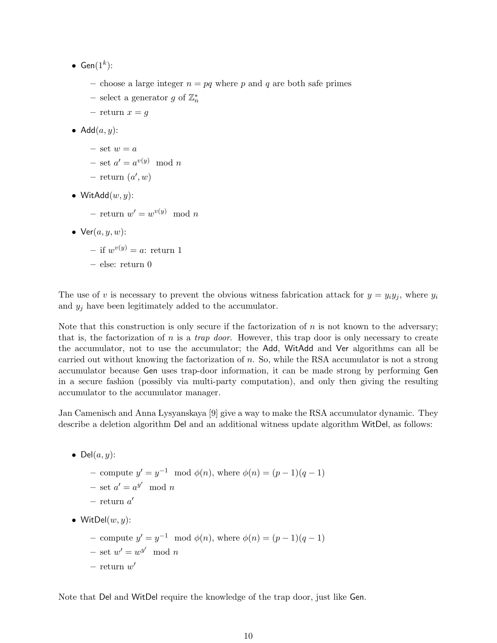- $Gen(1^k)$ :
	- choose a large integer  $n = pq$  where p and q are both safe primes
	- select a generator g of  $\mathbb{Z}_n^*$
	- return  $x = g$
- Add $(a, y)$ :
	- set  $w = a$
	- $-$  set  $a' = a^{v(y)} \mod n$
	- $-$  return  $(a', w)$
- WitAdd $(w, y)$ :
	- $-$  return  $w' = w^{v(y)} \mod n$
- $Ver(a, y, w)$ :
	- if  $w^{v(y)} = a$ : return 1
	- else: return 0

The use of v is necessary to prevent the obvious witness fabrication attack for  $y = y_i y_i$ , where  $y_i$ and  $y_j$  have been legitimately added to the accumulator.

Note that this construction is only secure if the factorization of  $n$  is not known to the adversary; that is, the factorization of  $n$  is a *trap door*. However, this trap door is only necessary to create the accumulator, not to use the accumulator; the Add, WitAdd and Ver algorithms can all be carried out without knowing the factorization of n. So, while the RSA accumulator is not a strong accumulator because Gen uses trap-door information, it can be made strong by performing Gen in a secure fashion (possibly via multi-party computation), and only then giving the resulting accumulator to the accumulator manager.

Jan Camenisch and Anna Lysyanskaya [9] give a way to make the RSA accumulator dynamic. They describe a deletion algorithm Del and an additional witness update algorithm WitDel, as follows:

• Del $(a, y)$ :

- compute  $y' = y^{-1} \mod \phi(n)$ , where  $\phi(n) = (p-1)(q-1)$
- $-$  set  $a' = a^{y'} \mod n$
- $-$  return  $a'$
- WitDel $(w, y)$ :
	- − compute  $y' = y^{-1} \mod \phi(n)$ , where  $\phi(n) = (p-1)(q-1)$  $-$  set  $w' = w^{y'} \mod n$  $-$  return  $w'$

Note that Del and WitDel require the knowledge of the trap door, just like Gen.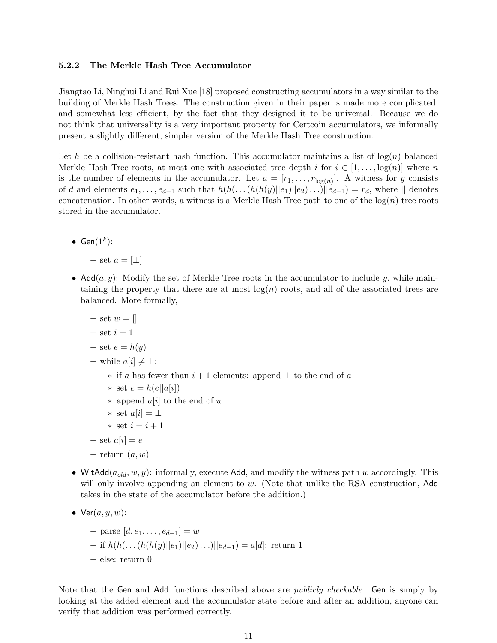#### 5.2.2 The Merkle Hash Tree Accumulator

Jiangtao Li, Ninghui Li and Rui Xue [18] proposed constructing accumulators in a way similar to the building of Merkle Hash Trees. The construction given in their paper is made more complicated, and somewhat less efficient, by the fact that they designed it to be universal. Because we do not think that universality is a very important property for Certcoin accumulators, we informally present a slightly different, simpler version of the Merkle Hash Tree construction.

Let h be a collision-resistant hash function. This accumulator maintains a list of  $log(n)$  balanced Merkle Hash Tree roots, at most one with associated tree depth i for  $i \in [1, \ldots, \log(n)]$  where n is the number of elements in the accumulator. Let  $a = [r_1, \ldots, r_{\log(n)}]$ . A witness for y consists of d and elements  $e_1, \ldots, e_{d-1}$  such that  $h(h(\ldots(h(h(y)||e_1)||e_2)\ldots)||e_{d-1}) = r_d$ , where  $||$  denotes concatenation. In other words, a witness is a Merkle Hash Tree path to one of the  $log(n)$  tree roots stored in the accumulator.

• Gen $(1^k)$ :

– set  $a = [\perp]$ 

- Add $(a, y)$ : Modify the set of Merkle Tree roots in the accumulator to include y, while maintaining the property that there are at most  $log(n)$  roots, and all of the associated trees are balanced. More formally,
	- set  $w = \lceil$
	- $-$  set  $i = 1$
	- set  $e = h(y)$
	- while  $a[i] ≠ ⊥$ :
		- $\ast$  if a has fewer than  $i+1$  elements: append ⊥ to the end of a
		- ∗ set  $e = h(e||a[i])$
		- ∗ append a[i] to the end of w
		- ∗ set  $a[i] = \perp$
		- ∗ set i = i + 1
	- set  $a[i] = e$
	- $-$  return  $(a, w)$
- WitAdd $(a_{old}, w, y)$ : informally, execute Add, and modify the witness path w accordingly. This will only involve appending an element to  $w$ . (Note that unlike the RSA construction, Add takes in the state of the accumulator before the addition.)
- $Ver(a, y, w)$ :
	- $−$  parse  $[d, e_1, \ldots, e_{d-1}] = w$
	- if  $h(h(\ldots(h(h(y)||e_1)||e_2)\ldots)||e_{d-1}) = a[d]$ : return 1
	- else: return 0

Note that the Gen and Add functions described above are *publicly checkable*. Gen is simply by looking at the added element and the accumulator state before and after an addition, anyone can verify that addition was performed correctly.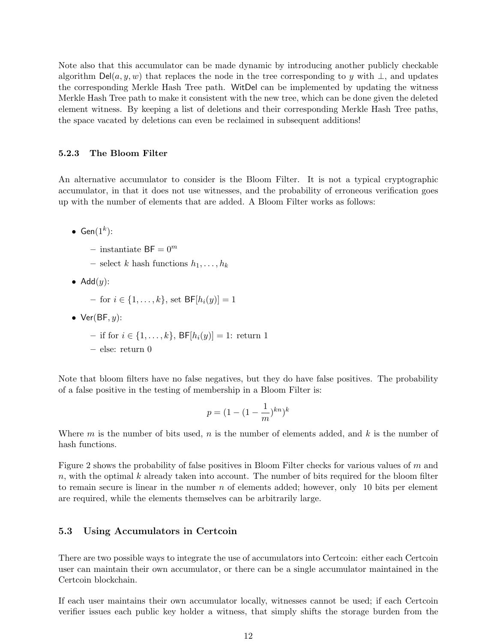Note also that this accumulator can be made dynamic by introducing another publicly checkable algorithm  $\text{Del}(a, y, w)$  that replaces the node in the tree corresponding to y with  $\perp$ , and updates the corresponding Merkle Hash Tree path. WitDel can be implemented by updating the witness Merkle Hash Tree path to make it consistent with the new tree, which can be done given the deleted element witness. By keeping a list of deletions and their corresponding Merkle Hash Tree paths, the space vacated by deletions can even be reclaimed in subsequent additions!

#### 5.2.3 The Bloom Filter

An alternative accumulator to consider is the Bloom Filter. It is not a typical cryptographic accumulator, in that it does not use witnesses, and the probability of erroneous verification goes up with the number of elements that are added. A Bloom Filter works as follows:

- $\bullet$  Gen $(1^k)$ :
	- instantiate  $BF = 0^m$
	- select k hash functions  $h_1, \ldots, h_k$
- Add $(y)$ :

 $-$  for  $i \in \{1, ..., k\}$ , set  $BF[h_i(y)] = 1$ 

• Ver $(BF, y)$ :

– if for *i* ∈ {1, ..., *k*}, BF[ $h_i(y)$ ] = 1: return 1

– else: return 0

Note that bloom filters have no false negatives, but they do have false positives. The probability of a false positive in the testing of membership in a Bloom Filter is:

$$
p = (1 - (1 - \frac{1}{m})^{kn})^k
$$

Where m is the number of bits used, n is the number of elements added, and k is the number of hash functions.

Figure 2 shows the probability of false positives in Bloom Filter checks for various values of  $m$  and  $n$ , with the optimal k already taken into account. The number of bits required for the bloom filter to remain secure is linear in the number  $n$  of elements added; however, only 10 bits per element are required, while the elements themselves can be arbitrarily large.

#### 5.3 Using Accumulators in Certcoin

There are two possible ways to integrate the use of accumulators into Certcoin: either each Certcoin user can maintain their own accumulator, or there can be a single accumulator maintained in the Certcoin blockchain.

If each user maintains their own accumulator locally, witnesses cannot be used; if each Certcoin verifier issues each public key holder a witness, that simply shifts the storage burden from the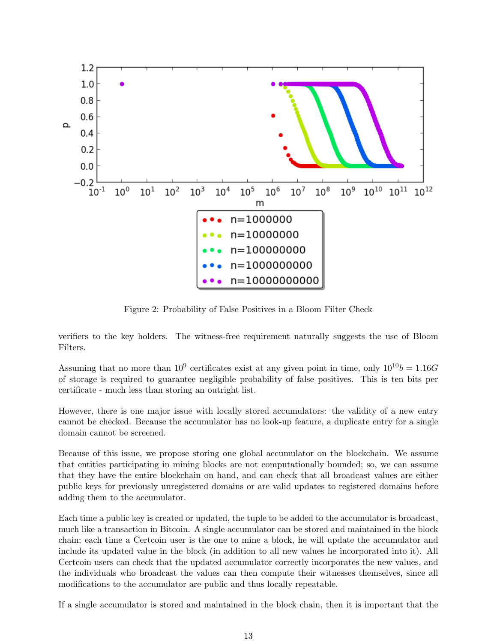

Figure 2: Probability of False Positives in a Bloom Filter Check

verifiers to the key holders. The witness-free requirement naturally suggests the use of Bloom Filters.

Assuming that no more than  $10^9$  certificates exist at any given point in time, only  $10^{10}b = 1.16G$ of storage is required to guarantee negligible probability of false positives. This is ten bits per certificate - much less than storing an outright list.

However, there is one major issue with locally stored accumulators: the validity of a new entry cannot be checked. Because the accumulator has no look-up feature, a duplicate entry for a single domain cannot be screened.

Because of this issue, we propose storing one global accumulator on the blockchain. We assume that entities participating in mining blocks are not computationally bounded; so, we can assume that they have the entire blockchain on hand, and can check that all broadcast values are either public keys for previously unregistered domains or are valid updates to registered domains before adding them to the accumulator.

Each time a public key is created or updated, the tuple to be added to the accumulator is broadcast, much like a transaction in Bitcoin. A single accumulator can be stored and maintained in the block chain; each time a Certcoin user is the one to mine a block, he will update the accumulator and include its updated value in the block (in addition to all new values he incorporated into it). All Certcoin users can check that the updated accumulator correctly incorporates the new values, and the individuals who broadcast the values can then compute their witnesses themselves, since all modifications to the accumulator are public and thus locally repeatable.

If a single accumulator is stored and maintained in the block chain, then it is important that the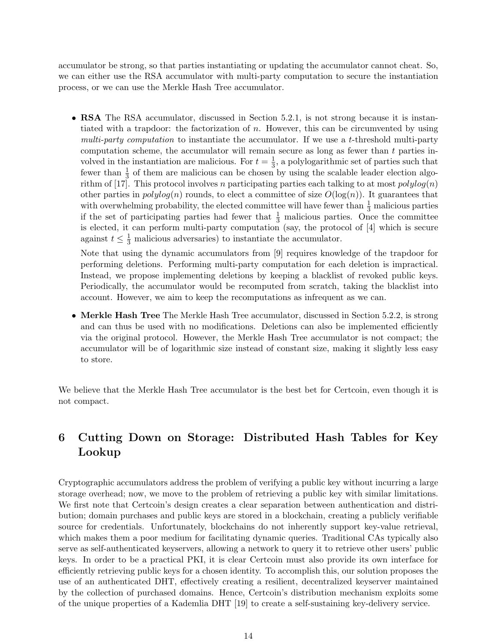accumulator be strong, so that parties instantiating or updating the accumulator cannot cheat. So, we can either use the RSA accumulator with multi-party computation to secure the instantiation process, or we can use the Merkle Hash Tree accumulator.

• RSA The RSA accumulator, discussed in Section 5.2.1, is not strong because it is instantiated with a trapdoor: the factorization of  $n$ . However, this can be circumvented by using multi-party computation to instantiate the accumulator. If we use a t-threshold multi-party computation scheme, the accumulator will remain secure as long as fewer than  $t$  parties involved in the instantiation are malicious. For  $t=\frac{1}{3}$  $\frac{1}{3}$ , a polylogarithmic set of parties such that fewer than  $\frac{1}{3}$  of them are malicious can be chosen by using the scalable leader election algorithm of [17]. This protocol involves n participating parties each talking to at most  $polylog(n)$ other parties in  $polylog(n)$  rounds, to elect a committee of size  $O(log(n))$ . It guarantees that with overwhelming probability, the elected committee will have fewer than  $\frac{1}{3}$  malicious parties if the set of participating parties had fewer that  $\frac{1}{3}$  malicious parties. Once the committee is elected, it can perform multi-party computation (say, the protocol of [4] which is secure against  $t \leq \frac{1}{3}$  malicious adversaries) to instantiate the accumulator.

Note that using the dynamic accumulators from [9] requires knowledge of the trapdoor for performing deletions. Performing multi-party computation for each deletion is impractical. Instead, we propose implementing deletions by keeping a blacklist of revoked public keys. Periodically, the accumulator would be recomputed from scratch, taking the blacklist into account. However, we aim to keep the recomputations as infrequent as we can.

• Merkle Hash Tree The Merkle Hash Tree accumulator, discussed in Section 5.2.2, is strong and can thus be used with no modifications. Deletions can also be implemented efficiently via the original protocol. However, the Merkle Hash Tree accumulator is not compact; the accumulator will be of logarithmic size instead of constant size, making it slightly less easy to store.

We believe that the Merkle Hash Tree accumulator is the best bet for Certcoin, even though it is not compact.

# 6 Cutting Down on Storage: Distributed Hash Tables for Key Lookup

Cryptographic accumulators address the problem of verifying a public key without incurring a large storage overhead; now, we move to the problem of retrieving a public key with similar limitations. We first note that Certcoin's design creates a clear separation between authentication and distribution; domain purchases and public keys are stored in a blockchain, creating a publicly verifiable source for credentials. Unfortunately, blockchains do not inherently support key-value retrieval, which makes them a poor medium for facilitating dynamic queries. Traditional CAs typically also serve as self-authenticated keyservers, allowing a network to query it to retrieve other users' public keys. In order to be a practical PKI, it is clear Certcoin must also provide its own interface for efficiently retrieving public keys for a chosen identity. To accomplish this, our solution proposes the use of an authenticated DHT, effectively creating a resilient, decentralized keyserver maintained by the collection of purchased domains. Hence, Certcoin's distribution mechanism exploits some of the unique properties of a Kademlia DHT [19] to create a self-sustaining key-delivery service.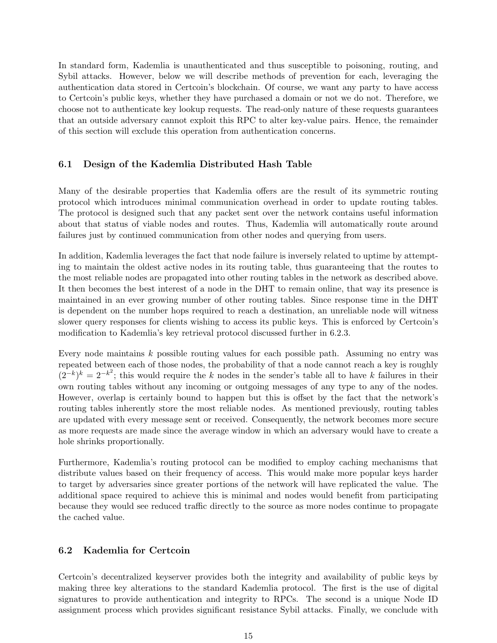In standard form, Kademlia is unauthenticated and thus susceptible to poisoning, routing, and Sybil attacks. However, below we will describe methods of prevention for each, leveraging the authentication data stored in Certcoin's blockchain. Of course, we want any party to have access to Certcoin's public keys, whether they have purchased a domain or not we do not. Therefore, we choose not to authenticate key lookup requests. The read-only nature of these requests guarantees that an outside adversary cannot exploit this RPC to alter key-value pairs. Hence, the remainder of this section will exclude this operation from authentication concerns.

#### 6.1 Design of the Kademlia Distributed Hash Table

Many of the desirable properties that Kademlia offers are the result of its symmetric routing protocol which introduces minimal communication overhead in order to update routing tables. The protocol is designed such that any packet sent over the network contains useful information about that status of viable nodes and routes. Thus, Kademlia will automatically route around failures just by continued communication from other nodes and querying from users.

In addition, Kademlia leverages the fact that node failure is inversely related to uptime by attempting to maintain the oldest active nodes in its routing table, thus guaranteeing that the routes to the most reliable nodes are propagated into other routing tables in the network as described above. It then becomes the best interest of a node in the DHT to remain online, that way its presence is maintained in an ever growing number of other routing tables. Since response time in the DHT is dependent on the number hops required to reach a destination, an unreliable node will witness slower query responses for clients wishing to access its public keys. This is enforced by Certcoin's modification to Kademlia's key retrieval protocol discussed further in 6.2.3.

Every node maintains k possible routing values for each possible path. Assuming no entry was repeated between each of those nodes, the probability of that a node cannot reach a key is roughly  $(2^{-k})^k = 2^{-k^2}$ ; this would require the k nodes in the sender's table all to have k failures in their own routing tables without any incoming or outgoing messages of any type to any of the nodes. However, overlap is certainly bound to happen but this is offset by the fact that the network's routing tables inherently store the most reliable nodes. As mentioned previously, routing tables are updated with every message sent or received. Consequently, the network becomes more secure as more requests are made since the average window in which an adversary would have to create a hole shrinks proportionally.

Furthermore, Kademlia's routing protocol can be modified to employ caching mechanisms that distribute values based on their frequency of access. This would make more popular keys harder to target by adversaries since greater portions of the network will have replicated the value. The additional space required to achieve this is minimal and nodes would benefit from participating because they would see reduced traffic directly to the source as more nodes continue to propagate the cached value.

#### 6.2 Kademlia for Certcoin

Certcoin's decentralized keyserver provides both the integrity and availability of public keys by making three key alterations to the standard Kademlia protocol. The first is the use of digital signatures to provide authentication and integrity to RPCs. The second is a unique Node ID assignment process which provides significant resistance Sybil attacks. Finally, we conclude with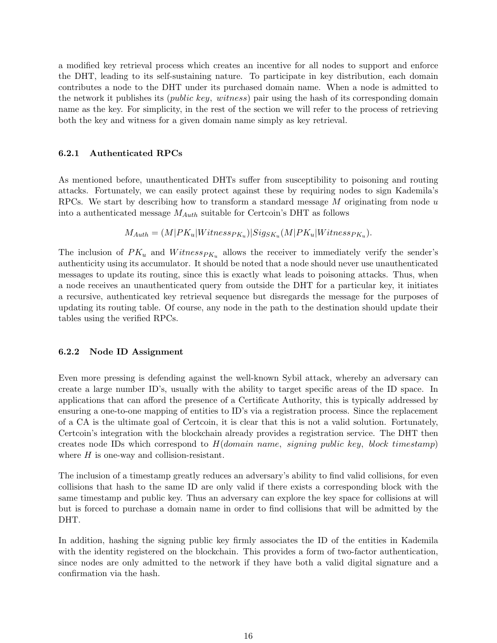a modified key retrieval process which creates an incentive for all nodes to support and enforce the DHT, leading to its self-sustaining nature. To participate in key distribution, each domain contributes a node to the DHT under its purchased domain name. When a node is admitted to the network it publishes its (public key, witness) pair using the hash of its corresponding domain name as the key. For simplicity, in the rest of the section we will refer to the process of retrieving both the key and witness for a given domain name simply as key retrieval.

#### 6.2.1 Authenticated RPCs

As mentioned before, unauthenticated DHTs suffer from susceptibility to poisoning and routing attacks. Fortunately, we can easily protect against these by requiring nodes to sign Kademila's RPCs. We start by describing how to transform a standard message  $M$  originating from node  $u$ into a authenticated message  $M_{Auth}$  suitable for Certcoin's DHT as follows

$$
M_{Auth} = (M|PK_u|Witness_{PK_u})|Sig_{SK_u}(M|PK_u|Witness_{PK_u}).
$$

The inclusion of  $PK_u$  and  $Witness_{PK_u}$  allows the receiver to immediately verify the sender's authenticity using its accumulator. It should be noted that a node should never use unauthenticated messages to update its routing, since this is exactly what leads to poisoning attacks. Thus, when a node receives an unauthenticated query from outside the DHT for a particular key, it initiates a recursive, authenticated key retrieval sequence but disregards the message for the purposes of updating its routing table. Of course, any node in the path to the destination should update their tables using the verified RPCs.

#### 6.2.2 Node ID Assignment

Even more pressing is defending against the well-known Sybil attack, whereby an adversary can create a large number ID's, usually with the ability to target specific areas of the ID space. In applications that can afford the presence of a Certificate Authority, this is typically addressed by ensuring a one-to-one mapping of entities to ID's via a registration process. Since the replacement of a CA is the ultimate goal of Certcoin, it is clear that this is not a valid solution. Fortunately, Certcoin's integration with the blockchain already provides a registration service. The DHT then creates node IDs which correspond to  $H(domain\ name, signing\ public\ key, block\ timestamp)$ where  $H$  is one-way and collision-resistant.

The inclusion of a timestamp greatly reduces an adversary's ability to find valid collisions, for even collisions that hash to the same ID are only valid if there exists a corresponding block with the same timestamp and public key. Thus an adversary can explore the key space for collisions at will but is forced to purchase a domain name in order to find collisions that will be admitted by the DHT.

In addition, hashing the signing public key firmly associates the ID of the entities in Kademila with the identity registered on the blockchain. This provides a form of two-factor authentication, since nodes are only admitted to the network if they have both a valid digital signature and a confirmation via the hash.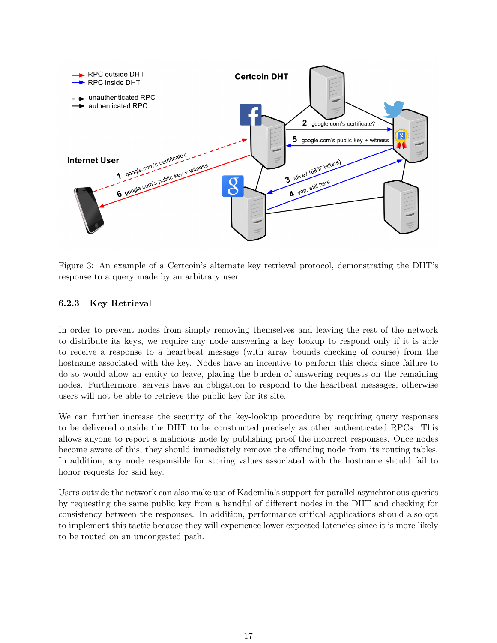

Figure 3: An example of a Certcoin's alternate key retrieval protocol, demonstrating the DHT's response to a query made by an arbitrary user.

#### 6.2.3 Key Retrieval

In order to prevent nodes from simply removing themselves and leaving the rest of the network to distribute its keys, we require any node answering a key lookup to respond only if it is able to receive a response to a heartbeat message (with array bounds checking of course) from the hostname associated with the key. Nodes have an incentive to perform this check since failure to do so would allow an entity to leave, placing the burden of answering requests on the remaining nodes. Furthermore, servers have an obligation to respond to the heartbeat messages, otherwise users will not be able to retrieve the public key for its site.

We can further increase the security of the key-lookup procedure by requiring query responses to be delivered outside the DHT to be constructed precisely as other authenticated RPCs. This allows anyone to report a malicious node by publishing proof the incorrect responses. Once nodes become aware of this, they should immediately remove the offending node from its routing tables. In addition, any node responsible for storing values associated with the hostname should fail to honor requests for said key.

Users outside the network can also make use of Kademlia's support for parallel asynchronous queries by requesting the same public key from a handful of different nodes in the DHT and checking for consistency between the responses. In addition, performance critical applications should also opt to implement this tactic because they will experience lower expected latencies since it is more likely to be routed on an uncongested path.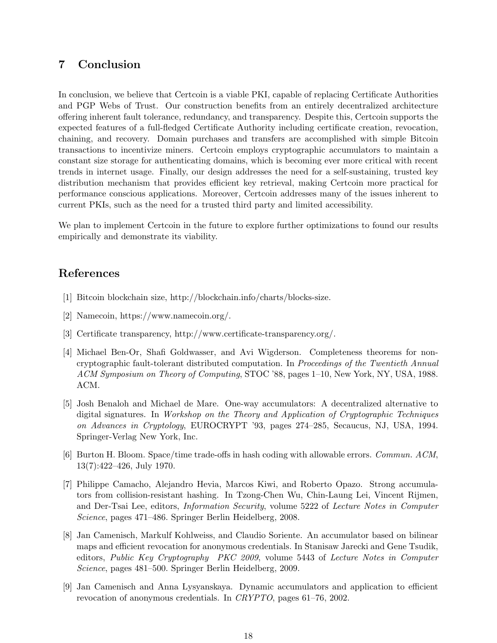# 7 Conclusion

In conclusion, we believe that Certcoin is a viable PKI, capable of replacing Certificate Authorities and PGP Webs of Trust. Our construction benefits from an entirely decentralized architecture offering inherent fault tolerance, redundancy, and transparency. Despite this, Certcoin supports the expected features of a full-fledged Certificate Authority including certificate creation, revocation, chaining, and recovery. Domain purchases and transfers are accomplished with simple Bitcoin transactions to incentivize miners. Certcoin employs cryptographic accumulators to maintain a constant size storage for authenticating domains, which is becoming ever more critical with recent trends in internet usage. Finally, our design addresses the need for a self-sustaining, trusted key distribution mechanism that provides efficient key retrieval, making Certcoin more practical for performance conscious applications. Moreover, Certcoin addresses many of the issues inherent to current PKIs, such as the need for a trusted third party and limited accessibility.

We plan to implement Certcoin in the future to explore further optimizations to found our results empirically and demonstrate its viability.

### References

- [1] Bitcoin blockchain size, http://blockchain.info/charts/blocks-size.
- [2] Namecoin, https://www.namecoin.org/.
- [3] Certificate transparency, http://www.certificate-transparency.org/.
- [4] Michael Ben-Or, Shafi Goldwasser, and Avi Wigderson. Completeness theorems for noncryptographic fault-tolerant distributed computation. In Proceedings of the Twentieth Annual ACM Symposium on Theory of Computing, STOC '88, pages 1–10, New York, NY, USA, 1988. ACM.
- [5] Josh Benaloh and Michael de Mare. One-way accumulators: A decentralized alternative to digital signatures. In Workshop on the Theory and Application of Cryptographic Techniques on Advances in Cryptology, EUROCRYPT '93, pages 274–285, Secaucus, NJ, USA, 1994. Springer-Verlag New York, Inc.
- [6] Burton H. Bloom. Space/time trade-offs in hash coding with allowable errors. Commun. ACM, 13(7):422–426, July 1970.
- [7] Philippe Camacho, Alejandro Hevia, Marcos Kiwi, and Roberto Opazo. Strong accumulators from collision-resistant hashing. In Tzong-Chen Wu, Chin-Laung Lei, Vincent Rijmen, and Der-Tsai Lee, editors, Information Security, volume 5222 of Lecture Notes in Computer Science, pages 471–486. Springer Berlin Heidelberg, 2008.
- [8] Jan Camenisch, Markulf Kohlweiss, and Claudio Soriente. An accumulator based on bilinear maps and efficient revocation for anonymous credentials. In Stanisaw Jarecki and Gene Tsudik, editors, Public Key Cryptography PKC 2009, volume 5443 of Lecture Notes in Computer Science, pages 481–500. Springer Berlin Heidelberg, 2009.
- [9] Jan Camenisch and Anna Lysyanskaya. Dynamic accumulators and application to efficient revocation of anonymous credentials. In CRYPTO, pages 61–76, 2002.